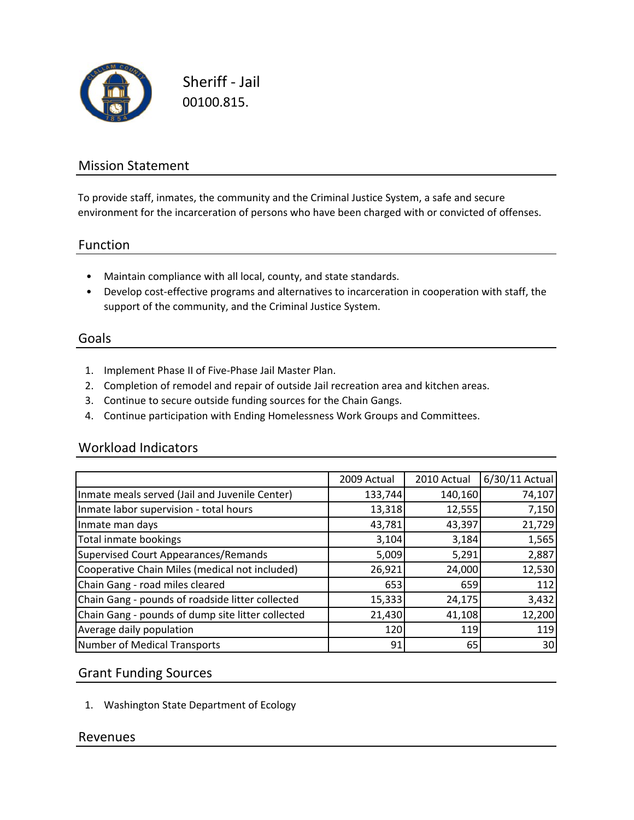

Sheriff ‐ Jail 00100.815.

# Mission Statement

To provide staff, inmates, the community and the Criminal Justice System, a safe and secure environment for the incarceration of persons who have been charged with or convicted of offenses.

#### Function

- Maintain compliance with all local, county, and state standards.
- Develop cost‐effective programs and alternatives to incarceration in cooperation with staff, the support of the community, and the Criminal Justice System.

#### Goals

- 1. Implement Phase II of Five‐Phase Jail Master Plan.
- 2. Completion of remodel and repair of outside Jail recreation area and kitchen areas.
- 3. Continue to secure outside funding sources for the Chain Gangs.
- 4. Continue participation with Ending Homelessness Work Groups and Committees.

#### Workload Indicators

|                                                   | 2009 Actual | 2010 Actual | 6/30/11 Actual |
|---------------------------------------------------|-------------|-------------|----------------|
| Inmate meals served (Jail and Juvenile Center)    | 133,744     | 140,160     | 74,107         |
| Inmate labor supervision - total hours            | 13,318      | 12,555      | 7,150          |
| Inmate man days                                   | 43,781      | 43,397      | 21,729         |
| Total inmate bookings                             | 3,104       | 3,184       | 1,565          |
| Supervised Court Appearances/Remands              | 5,009       | 5,291       | 2,887          |
| Cooperative Chain Miles (medical not included)    | 26,921      | 24,000      | 12,530         |
| Chain Gang - road miles cleared                   | 653         | 659         | 112            |
| Chain Gang - pounds of roadside litter collected  | 15,333      | 24,175      | 3,432          |
| Chain Gang - pounds of dump site litter collected | 21,430      | 41,108      | 12,200         |
| Average daily population                          | 120         | 119         | 119            |
| Number of Medical Transports                      | 91          | 65          | 30             |

## Grant Funding Sources

1. Washington State Department of Ecology

## Revenues